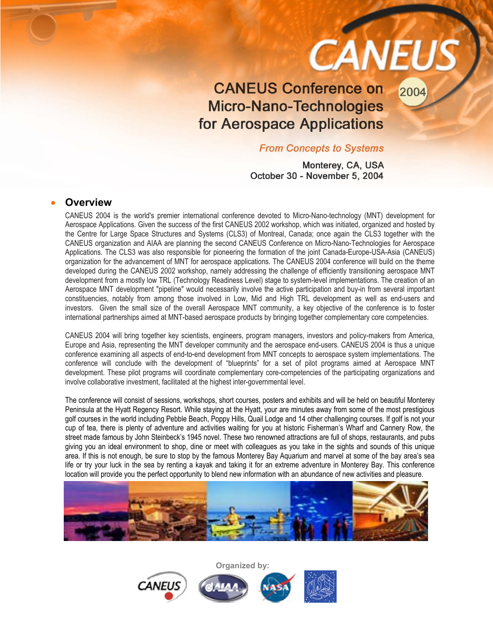# **CANEUS Conference on Micro-Nano-Technologies** for Aerospace Applications

### **From Concepts to Systems**

**CANEUS** 

2004

Monterey, CA, USA October 30 - November 5, 2004

#### • **Overview**

CANEUS 2004 is the world's premier international conference devoted to Micro-Nano-technology (MNT) development for Aerospace Applications. Given the success of the first CANEUS 2002 workshop, which was initiated, organized and hosted by the Centre for Large Space Structures and Systems (CLS3) of Montreal, Canada; once again the CLS3 together with the CANEUS organization and AIAA are planning the second CANEUS Conference on Micro-Nano-Technologies for Aerospace Applications. The CLS3 was also responsible for pioneering the formation of the joint Canada-Europe-USA-Asia (CANEUS) organization for the advancement of MNT for aerospace applications. The CANEUS 2004 conference will build on the theme developed during the CANEUS 2002 workshop, namely addressing the challenge of efficiently transitioning aerospace MNT development from a mostly low TRL (Technology Readiness Level) stage to system-level implementations. The creation of an Aerospace MNT development "pipeline" would necessarily involve the active participation and buy-in from several important constituencies, notably from among those involved in Low, Mid and High TRL development as well as end-users and investors. Given the small size of the overall Aerospace MNT community, a key objective of the conference is to foster international partnerships aimed at MNT-based aerospace products by bringing together complementary core competencies.

CANEUS 2004 will bring together key scientists, engineers, program managers, investors and policy-makers from America, Europe and Asia, representing the MNT developer community and the aerospace end-users. CANEUS 2004 is thus a unique conference examining all aspects of end-to-end development from MNT concepts to aerospace system implementations. The conference will conclude with the development of "blueprints" for a set of pilot programs aimed at Aerospace MNT development. These pilot programs will coordinate complementary core-competencies of the participating organizations and involve collaborative investment, facilitated at the highest inter-governmental level.

The conference will consist of sessions, workshops, short courses, posters and exhibits and will be held on beautiful Monterey Peninsula at the Hyatt Regency Resort. While staying at the Hyatt, your are minutes away from some of the most prestigious golf courses in the world including Pebble Beach, Poppy Hills, Quail Lodge and 14 other challenging courses. If golf is not your cup of tea, there is plenty of adventure and activities waiting for you at historic Fisherman's Wharf and Cannery Row, the street made famous by John Steinbeck's 1945 novel. These two renowned attractions are full of shops, restaurants, and pubs giving you an ideal environment to shop, dine or meet with colleagues as you take in the sights and sounds of this unique area. If this is not enough, be sure to stop by the famous Monterey Bay Aquarium and marvel at some of the bay area's sea life or try your luck in the sea by renting a kayak and taking it for an extreme adventure in Monterey Bay. This conference location will provide you the perfect opportunity to blend new information with an abundance of new activities and pleasure.



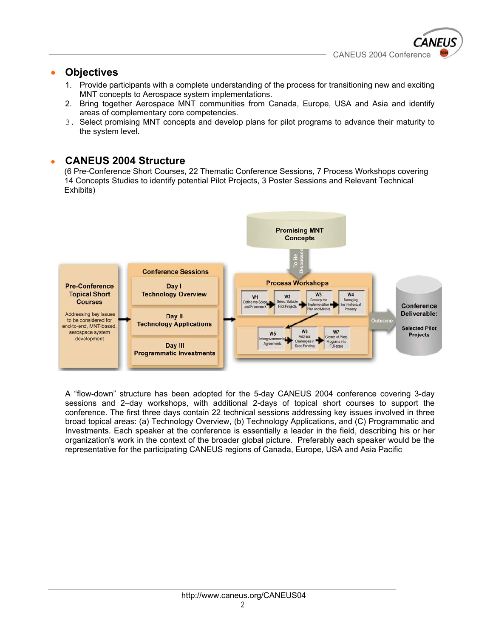# • **Objectives**

- 1. Provide participants with a complete understanding of the process for transitioning new and exciting MNT concepts to Aerospace system implementations.
- 2. Bring together Aerospace MNT communities from Canada, Europe, USA and Asia and identify areas of complementary core competencies.
- 3. Select promising MNT concepts and develop plans for pilot programs to advance their maturity to the system level.

# • **CANEUS 2004 Structure**

(6 Pre-Conference Short Courses, 22 Thematic Conference Sessions, 7 Process Workshops covering 14 Concepts Studies to identify potential Pilot Projects, 3 Poster Sessions and Relevant Technical Exhibits)



A "flow-down" structure has been adopted for the 5-day CANEUS 2004 conference covering 3-day sessions and 2–day workshops, with additional 2-days of topical short courses to support the conference. The first three days contain 22 technical sessions addressing key issues involved in three broad topical areas: (a) Technology Overview, (b) Technology Applications, and (C) Programmatic and Investments. Each speaker at the conference is essentially a leader in the field, describing his or her organization's work in the context of the broader global picture. Preferably each speaker would be the representative for the participating CANEUS regions of Canada, Europe, USA and Asia Pacific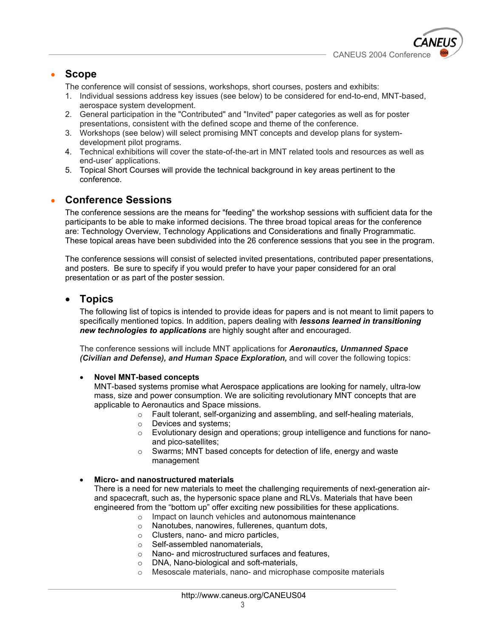

# • **Scope**

The conference will consist of sessions, workshops, short courses, posters and exhibits:

- 1. Individual sessions address key issues (see below) to be considered for end-to-end, MNT-based, aerospace system development.
- 2. General participation in the "Contributed" and "Invited" paper categories as well as for poster presentations, consistent with the defined scope and theme of the conference.
- 3. Workshops (see below) will select promising MNT concepts and develop plans for systemdevelopment pilot programs.
- 4. Technical exhibitions will cover the state-of-the-art in MNT related tools and resources as well as end-user' applications.
- 5. Topical Short Courses will provide the technical background in key areas pertinent to the conference.

## • **Conference Sessions**

The conference sessions are the means for "feeding" the workshop sessions with sufficient data for the participants to be able to make informed decisions. The three broad topical areas for the conference are: Technology Overview, Technology Applications and Considerations and finally Programmatic. These topical areas have been subdivided into the 26 conference sessions that you see in the program.

The conference sessions will consist of selected invited presentations, contributed paper presentations, and posters. Be sure to specify if you would prefer to have your paper considered for an oral presentation or as part of the poster session.

# • **Topics**

The following list of topics is intended to provide ideas for papers and is not meant to limit papers to specifically mentioned topics. In addition, papers dealing with *lessons learned in transitioning new technologies to applications* are highly sought after and encouraged.

The conference sessions will include MNT applications for *Aeronautics, Unmanned Space (Civilian and Defense), and Human Space Exploration,* and will cover the following topics:

#### • **Novel MNT-based concepts**

MNT-based systems promise what Aerospace applications are looking for namely, ultra-low mass, size and power consumption. We are soliciting revolutionary MNT concepts that are applicable to Aeronautics and Space missions.

- o Fault tolerant, self-organizing and assembling, and self-healing materials,
- o Devices and systems;
- $\circ$  Evolutionary design and operations; group intelligence and functions for nanoand pico-satellites;
- o Swarms; MNT based concepts for detection of life, energy and waste management

#### • **Micro- and nanostructured materials**

There is a need for new materials to meet the challenging requirements of next-generation airand spacecraft, such as, the hypersonic space plane and RLVs. Materials that have been engineered from the "bottom up" offer exciting new possibilities for these applications.

- o Impact on launch vehicles and autonomous maintenance
- o Nanotubes, nanowires, fullerenes, quantum dots,
- o Clusters, nano- and micro particles,
- o Self-assembled nanomaterials,
- o Nano- and microstructured surfaces and features,
- o DNA, Nano-biological and soft-materials,
- o Mesoscale materials, nano- and microphase composite materials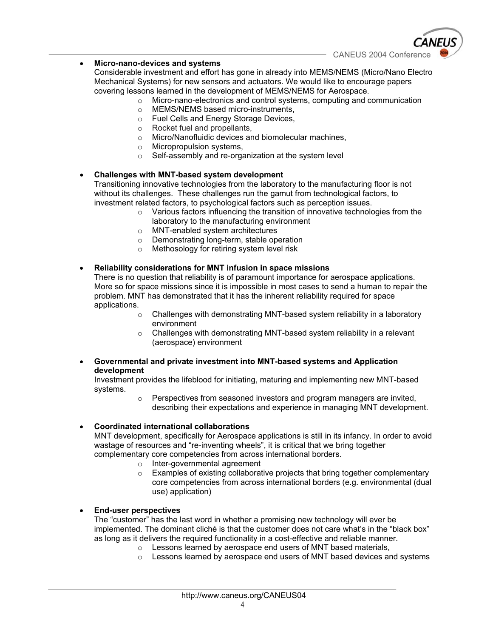CANEUS 2004 Conference

#### • **Micro-nano-devices and systems**

Considerable investment and effort has gone in already into MEMS/NEMS (Micro/Nano Electro Mechanical Systems) for new sensors and actuators. We would like to encourage papers covering lessons learned in the development of MEMS/NEMS for Aerospace.

- o Micro-nano-electronics and control systems, computing and communication
- o MEMS/NEMS based micro-instruments,
- o Fuel Cells and Energy Storage Devices,
- o Rocket fuel and propellants,
- o Micro/Nanofluidic devices and biomolecular machines,
- o Micropropulsion systems,
- o Self-assembly and re-organization at the system level

#### • **Challenges with MNT-based system development**

Transitioning innovative technologies from the laboratory to the manufacturing floor is not without its challenges. These challenges run the gamut from technological factors, to investment related factors, to psychological factors such as perception issues.

- o Various factors influencing the transition of innovative technologies from the laboratory to the manufacturing environment
- o MNT-enabled system architectures
- o Demonstrating long-term, stable operation
- o Methosology for retiring system level risk

#### • **Reliability considerations for MNT infusion in space missions**

There is no question that reliability is of paramount importance for aerospace applications. More so for space missions since it is impossible in most cases to send a human to repair the problem. MNT has demonstrated that it has the inherent reliability required for space applications.

- $\circ$  Challenges with demonstrating MNT-based system reliability in a laboratory environment
- $\circ$  Challenges with demonstrating MNT-based system reliability in a relevant (aerospace) environment
- **Governmental and private investment into MNT-based systems and Application development**

Investment provides the lifeblood for initiating, maturing and implementing new MNT-based systems.

o Perspectives from seasoned investors and program managers are invited, describing their expectations and experience in managing MNT development.

#### • **Coordinated international collaborations**

MNT development, specifically for Aerospace applications is still in its infancy. In order to avoid wastage of resources and "re-inventing wheels", it is critical that we bring together complementary core competencies from across international borders.

- o Inter-governmental agreement
- o Examples of existing collaborative projects that bring together complementary core competencies from across international borders (e.g. environmental (dual use) application)

#### • **End-user perspectives**

The "customer" has the last word in whether a promising new technology will ever be implemented. The dominant cliché is that the customer does not care what's in the "black box" as long as it delivers the required functionality in a cost-effective and reliable manner.

- o Lessons learned by aerospace end users of MNT based materials,
- $\circ$  Lessons learned by aerospace end users of MNT based devices and systems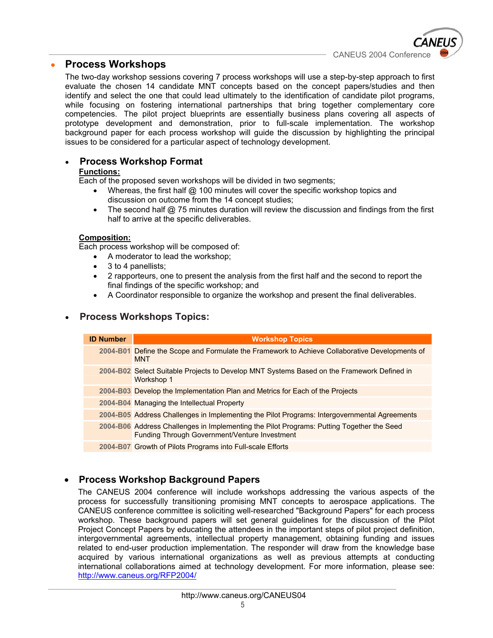

### • **Process Workshops**

The two-day workshop sessions covering 7 process workshops will use a step-by-step approach to first evaluate the chosen 14 candidate MNT concepts based on the concept papers/studies and then identify and select the one that could lead ultimately to the identification of candidate pilot programs, while focusing on fostering international partnerships that bring together complementary core competencies. The pilot project blueprints are essentially business plans covering all aspects of prototype development and demonstration, prior to full-scale implementation. The workshop background paper for each process workshop will guide the discussion by highlighting the principal issues to be considered for a particular aspect of technology development.

### • **Process Workshop Format**

#### **Functions:**

Each of the proposed seven workshops will be divided in two segments;

- Whereas, the first half @ 100 minutes will cover the specific workshop topics and discussion on outcome from the 14 concept studies;
- The second half @ 75 minutes duration will review the discussion and findings from the first half to arrive at the specific deliverables.

#### **Composition:**

Each process workshop will be composed of:

- A moderator to lead the workshop;
- 3 to 4 panellists;
- 2 rapporteurs, one to present the analysis from the first half and the second to report the final findings of the specific workshop; and
- A Coordinator responsible to organize the workshop and present the final deliverables.

### • **Process Workshops Topics:**

| <b>ID Number</b> | <b>Workshop Topics</b>                                                                                                                     |
|------------------|--------------------------------------------------------------------------------------------------------------------------------------------|
|                  | 2004-B01 Define the Scope and Formulate the Framework to Achieve Collaborative Developments of<br><b>MNT</b>                               |
|                  | 2004-B02 Select Suitable Projects to Develop MNT Systems Based on the Framework Defined in<br>Workshop 1                                   |
|                  | 2004-B03 Develop the Implementation Plan and Metrics for Each of the Projects                                                              |
|                  | 2004-B04 Managing the Intellectual Property                                                                                                |
|                  | 2004-B05 Address Challenges in Implementing the Pilot Programs: Intergovernmental Agreements                                               |
|                  | 2004-B06 Address Challenges in Implementing the Pilot Programs: Putting Together the Seed<br>Funding Through Government/Venture Investment |
|                  | 2004-B07 Growth of Pilots Programs into Full-scale Efforts                                                                                 |

### • **Process Workshop Background Papers**

The CANEUS 2004 conference will include workshops addressing the various aspects of the process for successfully transitioning promising MNT concepts to aerospace applications. The CANEUS conference committee is soliciting well-researched "Background Papers" for each process workshop. These background papers will set general guidelines for the discussion of the Pilot Project Concept Papers by educating the attendees in the important steps of pilot project definition, intergovernmental agreements, intellectual property management, obtaining funding and issues related to end-user production implementation. The responder will draw from the knowledge base acquired by various international organizations as well as previous attempts at conducting international collaborations aimed at technology development. For more information, please see: http://www.caneus.org/RFP2004/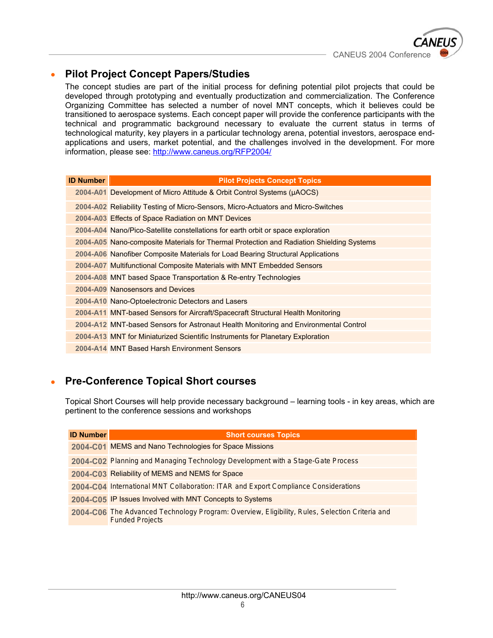

# • **Pilot Project Concept Papers/Studies**

The concept studies are part of the initial process for defining potential pilot projects that could be developed through prototyping and eventually productization and commercialization. The Conference Organizing Committee has selected a number of novel MNT concepts, which it believes could be transitioned to aerospace systems. Each concept paper will provide the conference participants with the technical and programmatic background necessary to evaluate the current status in terms of technological maturity, key players in a particular technology arena, potential investors, aerospace endapplications and users, market potential, and the challenges involved in the development. For more information, please see: http://www.caneus.org/RFP2004/

| <b>ID Number</b> | <b>Pilot Projects Concept Topics</b>                                                     |
|------------------|------------------------------------------------------------------------------------------|
|                  | 2004-A01 Development of Micro Attitude & Orbit Control Systems (μAOCS)                   |
|                  | 2004-A02 Reliability Testing of Micro-Sensors, Micro-Actuators and Micro-Switches        |
|                  | 2004-A03 Effects of Space Radiation on MNT Devices                                       |
|                  | 2004-A04 Nano/Pico-Satellite constellations for earth orbit or space exploration         |
|                  | 2004-A05 Nano-composite Materials for Thermal Protection and Radiation Shielding Systems |
|                  | 2004-A06 Nanofiber Composite Materials for Load Bearing Structural Applications          |
|                  | 2004-A07 Multifunctional Composite Materials with MNT Embedded Sensors                   |
|                  | 2004-A08 MNT based Space Transportation & Re-entry Technologies                          |
|                  | 2004-A09 Nanosensors and Devices                                                         |
|                  | 2004-A10 Nano-Optoelectronic Detectors and Lasers                                        |
|                  | 2004-A11 MNT-based Sensors for Aircraft/Spacecraft Structural Health Monitoring          |
|                  | 2004-A12 MNT-based Sensors for Astronaut Health Monitoring and Environmental Control     |
|                  | 2004-A13 MNT for Miniaturized Scientific Instruments for Planetary Exploration           |
|                  | 2004-A14 MNT Based Harsh Environment Sensors                                             |
|                  |                                                                                          |

# • **Pre-Conference Topical Short courses**

Topical Short Courses will help provide necessary background – learning tools - in key areas, which are pertinent to the conference sessions and workshops

| <b>ID Number</b> | <b>Short courses Topics</b>                                                                                              |
|------------------|--------------------------------------------------------------------------------------------------------------------------|
|                  | 2004-C01 MEMS and Nano Technologies for Space Missions                                                                   |
|                  | 2004-C02 Planning and Managing Technology Development with a Stage-Gate Process                                          |
|                  | 2004-C03 Reliability of MEMS and NEMS for Space                                                                          |
|                  | 2004-C04 International MNT Collaboration: ITAR and Export Compliance Considerations                                      |
|                  | 2004-C05 IP Issues Involved with MNT Concepts to Systems                                                                 |
|                  | 2004-C06 The Advanced Technology Program: Overview, Eligibility, Rules, Selection Criteria and<br><b>Funded Projects</b> |